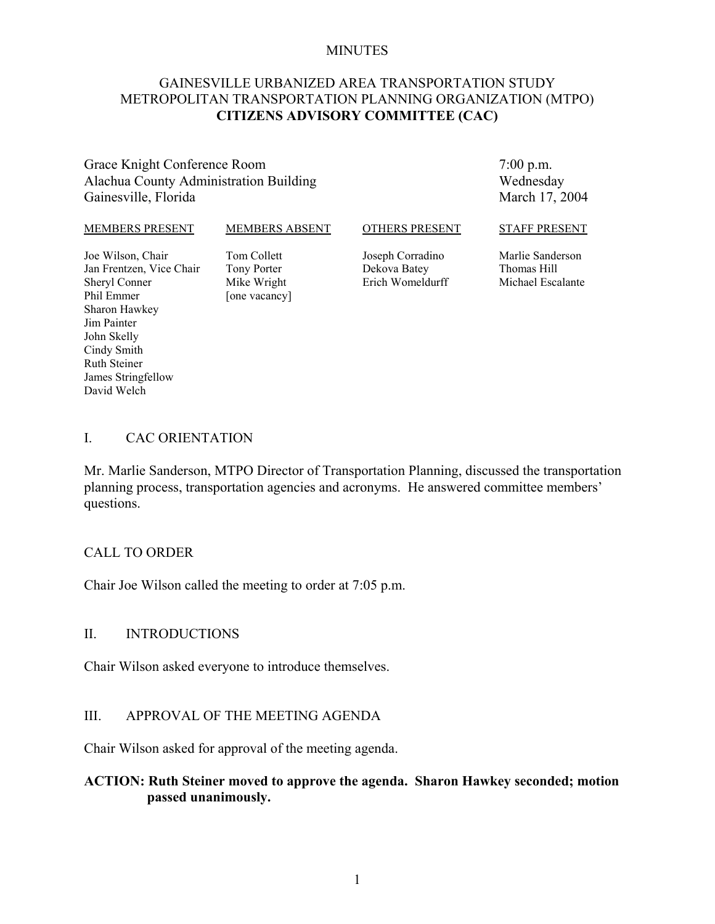#### MINUTES

## GAINESVILLE URBANIZED AREA TRANSPORTATION STUDY METROPOLITAN TRANSPORTATION PLANNING ORGANIZATION (MTPO) **CITIZENS ADVISORY COMMITTEE (CAC)**

### Grace Knight Conference Room Alachua County Administration Building Gainesville, Florida

7:00 p.m. Wednesday March 17, 2004

#### MEMBERS PRESENT

#### MEMBERS ABSENT

#### OTHERS PRESENT

Joe Wilson, Chair Jan Frentzen, Vice Chair Sheryl Conner Phil Emmer Sharon Hawkey Jim Painter John Skelly Cindy Smith Ruth Steiner James Stringfellow David Welch

Tom Collett Tony Porter Mike Wright [one vacancy]

Joseph Corradino Dekova Batey Erich Womeldurff STAFF PRESENT

Marlie Sanderson Thomas Hill Michael Escalante

#### I. CAC ORIENTATION

Mr. Marlie Sanderson, MTPO Director of Transportation Planning, discussed the transportation planning process, transportation agencies and acronyms. He answered committee members' questions.

#### CALL TO ORDER

Chair Joe Wilson called the meeting to order at 7:05 p.m.

#### II. INTRODUCTIONS

Chair Wilson asked everyone to introduce themselves.

#### III. APPROVAL OF THE MEETING AGENDA

Chair Wilson asked for approval of the meeting agenda.

# **ACTION: Ruth Steiner moved to approve the agenda. Sharon Hawkey seconded; motion passed unanimously.**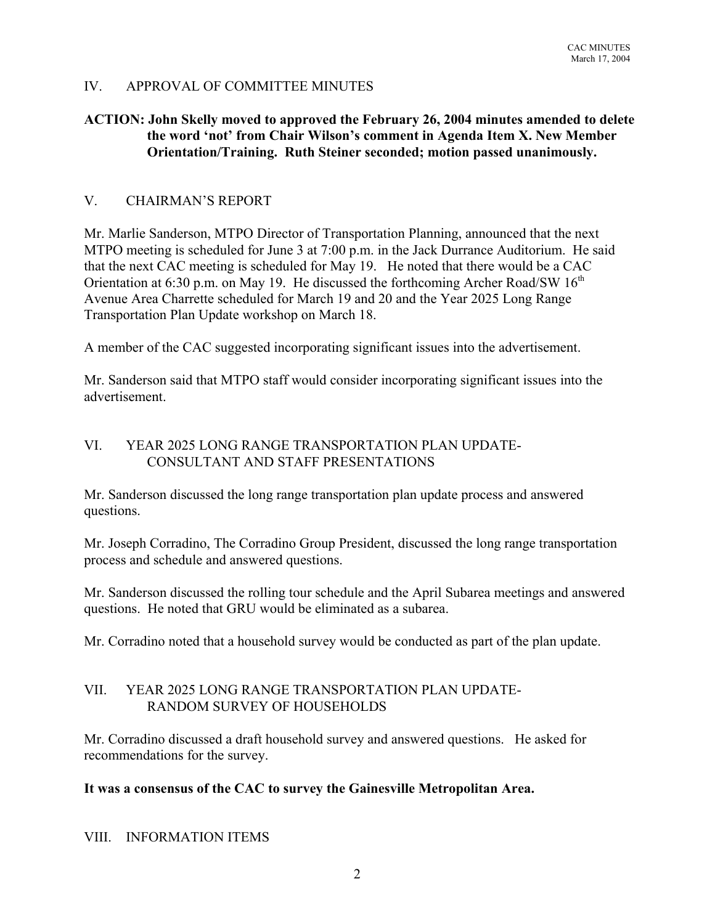# IV. APPROVAL OF COMMITTEE MINUTES

# **ACTION: John Skelly moved to approved the February 26, 2004 minutes amended to delete the word 'not' from Chair Wilson's comment in Agenda Item X. New Member Orientation/Training. Ruth Steiner seconded; motion passed unanimously.**

# V. CHAIRMAN'S REPORT

Mr. Marlie Sanderson, MTPO Director of Transportation Planning, announced that the next MTPO meeting is scheduled for June 3 at 7:00 p.m. in the Jack Durrance Auditorium. He said that the next CAC meeting is scheduled for May 19. He noted that there would be a CAC Orientation at 6:30 p.m. on May 19. He discussed the forthcoming Archer Road/SW  $16<sup>th</sup>$ Avenue Area Charrette scheduled for March 19 and 20 and the Year 2025 Long Range Transportation Plan Update workshop on March 18.

A member of the CAC suggested incorporating significant issues into the advertisement.

Mr. Sanderson said that MTPO staff would consider incorporating significant issues into the advertisement.

# VI. YEAR 2025 LONG RANGE TRANSPORTATION PLAN UPDATE-CONSULTANT AND STAFF PRESENTATIONS

Mr. Sanderson discussed the long range transportation plan update process and answered questions.

Mr. Joseph Corradino, The Corradino Group President, discussed the long range transportation process and schedule and answered questions.

Mr. Sanderson discussed the rolling tour schedule and the April Subarea meetings and answered questions. He noted that GRU would be eliminated as a subarea.

Mr. Corradino noted that a household survey would be conducted as part of the plan update.

## VII. YEAR 2025 LONG RANGE TRANSPORTATION PLAN UPDATE-RANDOM SURVEY OF HOUSEHOLDS

Mr. Corradino discussed a draft household survey and answered questions. He asked for recommendations for the survey.

# **It was a consensus of the CAC to survey the Gainesville Metropolitan Area.**

### VIII. INFORMATION ITEMS